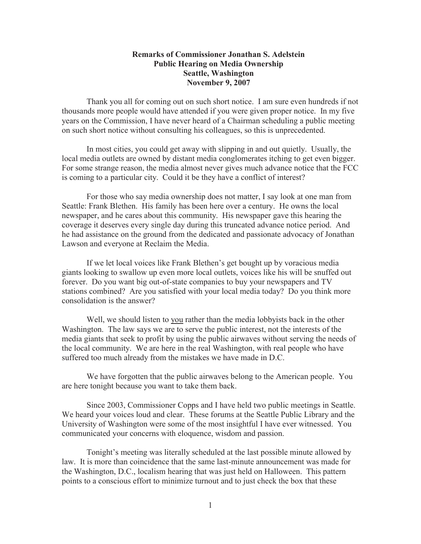## **Remarks of Commissioner Jonathan S. Adelstein Public Hearing on Media Ownership Seattle, Washington November 9, 2007**

Thank you all for coming out on such short notice. I am sure even hundreds if not thousands more people would have attended if you were given proper notice. In my five years on the Commission, I have never heard of a Chairman scheduling a public meeting on such short notice without consulting his colleagues, so this is unprecedented.

In most cities, you could get away with slipping in and out quietly. Usually, the local media outlets are owned by distant media conglomerates itching to get even bigger. For some strange reason, the media almost never gives much advance notice that the FCC is coming to a particular city. Could it be they have a conflict of interest?

For those who say media ownership does not matter, I say look at one man from Seattle: Frank Blethen. His family has been here over a century. He owns the local newspaper, and he cares about this community. His newspaper gave this hearing the coverage it deserves every single day during this truncated advance notice period. And he had assistance on the ground from the dedicated and passionate advocacy of Jonathan Lawson and everyone at Reclaim the Media.

If we let local voices like Frank Blethen's get bought up by voracious media giants looking to swallow up even more local outlets, voices like his will be snuffed out forever. Do you want big out-of-state companies to buy your newspapers and TV stations combined? Are you satisfied with your local media today? Do you think more consolidation is the answer?

Well, we should listen to you rather than the media lobbyists back in the other Washington. The law says we are to serve the public interest, not the interests of the media giants that seek to profit by using the public airwaves without serving the needs of the local community. We are here in the real Washington, with real people who have suffered too much already from the mistakes we have made in D.C.

We have forgotten that the public airwaves belong to the American people. You are here tonight because you want to take them back.

Since 2003, Commissioner Copps and I have held two public meetings in Seattle. We heard your voices loud and clear. These forums at the Seattle Public Library and the University of Washington were some of the most insightful I have ever witnessed. You communicated your concerns with eloquence, wisdom and passion.

Tonight's meeting was literally scheduled at the last possible minute allowed by law. It is more than coincidence that the same last-minute announcement was made for the Washington, D.C., localism hearing that was just held on Halloween. This pattern points to a conscious effort to minimize turnout and to just check the box that these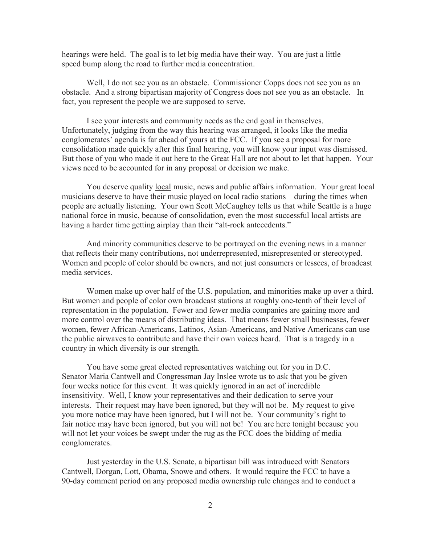hearings were held. The goal is to let big media have their way. You are just a little speed bump along the road to further media concentration.

Well, I do not see you as an obstacle. Commissioner Copps does not see you as an obstacle. And a strong bipartisan majority of Congress does not see you as an obstacle. In fact, you represent the people we are supposed to serve.

I see your interests and community needs as the end goal in themselves. Unfortunately, judging from the way this hearing was arranged, it looks like the media conglomerates' agenda is far ahead of yours at the FCC. If you see a proposal for more consolidation made quickly after this final hearing, you will know your input was dismissed. But those of you who made it out here to the Great Hall are not about to let that happen. Your views need to be accounted for in any proposal or decision we make.

You deserve quality local music, news and public affairs information. Your great local musicians deserve to have their music played on local radio stations – during the times when people are actually listening. Your own Scott McCaughey tells us that while Seattle is a huge national force in music, because of consolidation, even the most successful local artists are having a harder time getting airplay than their "alt-rock antecedents."

And minority communities deserve to be portrayed on the evening news in a manner that reflects their many contributions, not underrepresented, misrepresented or stereotyped. Women and people of color should be owners, and not just consumers or lessees, of broadcast media services.

Women make up over half of the U.S. population, and minorities make up over a third. But women and people of color own broadcast stations at roughly one-tenth of their level of representation in the population. Fewer and fewer media companies are gaining more and more control over the means of distributing ideas. That means fewer small businesses, fewer women, fewer African-Americans, Latinos, Asian-Americans, and Native Americans can use the public airwaves to contribute and have their own voices heard. That is a tragedy in a country in which diversity is our strength.

You have some great elected representatives watching out for you in D.C. Senator Maria Cantwell and Congressman Jay Inslee wrote us to ask that you be given four weeks notice for this event. It was quickly ignored in an act of incredible insensitivity. Well, I know your representatives and their dedication to serve your interests. Their request may have been ignored, but they will not be. My request to give you more notice may have been ignored, but I will not be. Your community's right to fair notice may have been ignored, but you will not be! You are here tonight because you will not let your voices be swept under the rug as the FCC does the bidding of media conglomerates.

Just yesterday in the U.S. Senate, a bipartisan bill was introduced with Senators Cantwell, Dorgan, Lott, Obama, Snowe and others. It would require the FCC to have a 90-day comment period on any proposed media ownership rule changes and to conduct a